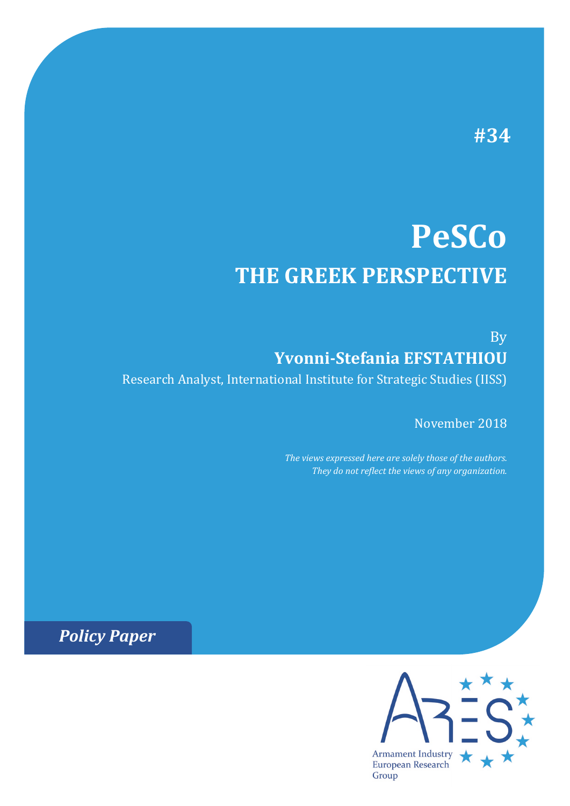# **#34**

# **PeSCo THE GREEK PERSPECTIVE**

By **Yvonni-Stefania EFSTATHIOU** Research Analyst, International Institute for Strategic Studies (IISS)

November 2018

*The views expressed here are solely those of the authors. They do not reflect the views of any organization.*

*Policy Paper*

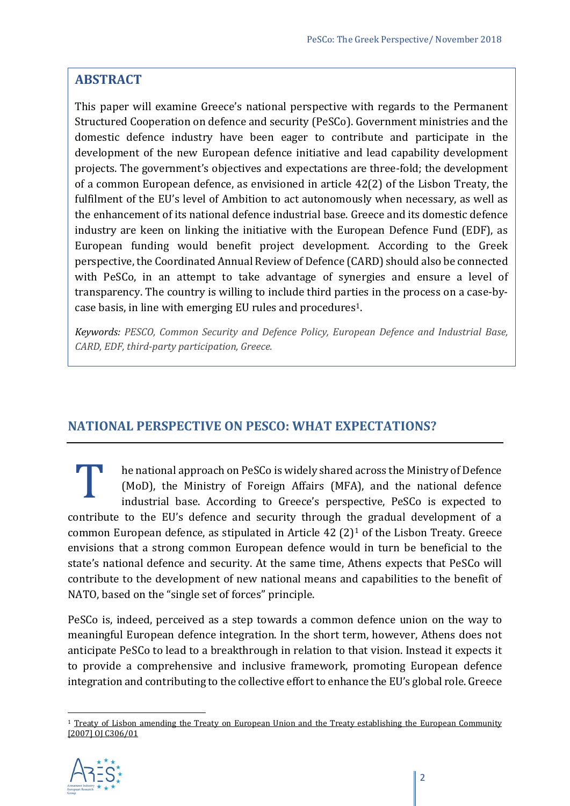# **ABSTRACT**

This paper will examine Greece's national perspective with regards to the Permanent Structured Cooperation on defence and security (PeSCo). Government ministries and the domestic defence industry have been eager to contribute and participate in the development of the new European defence initiative and lead capability development projects. The government's objectives and expectations are three-fold; the development of a common European defence, as envisioned in article 42(2) of the Lisbon Treaty, the fulfilment of the EU's level of Ambition to act autonomously when necessary, as well as the enhancement of its national defence industrial base. Greece and its domestic defence industry are keen on linking the initiative with the European Defence Fund (EDF), as European funding would benefit project development. According to the Greek perspective, the Coordinated Annual Review of Defence (CARD) should also be connected with PeSCo, in an attempt to take advantage of synergies and ensure a level of transparency. The country is willing to include third parties in the process on a case-bycase basis, in line with emerging EU rules and procedures1.

*Keywords: PESCO, Common Security and Defence Policy, European Defence and Industrial Base, CARD, EDF, third-party participation, Greece.*

# **NATIONAL PERSPECTIVE ON PESCO: WHAT EXPECTATIONS?**

he national approach on PeSCo is widely shared across the Ministry of Defence (MoD), the Ministry of Foreign Affairs (MFA), and the national defence industrial base. According to Greece's perspective, PeSCo is expected to IF The national approach on Pesco is widely shared across the Ministry of Defence<br>
(MoD), the Ministry of Foreign Affairs (MFA), and the national defence<br>
industrial base. According to Greece's perspective, PeSCo is expect common European defence, as stipulated in Article  $42$  (2)<sup>[1](#page-1-0)</sup> of the Lisbon Treaty. Greece envisions that a strong common European defence would in turn be beneficial to the state's national defence and security. At the same time, Athens expects that PeSCo will contribute to the development of new national means and capabilities to the benefit of NATO, based on the "single set of forces" principle.

PeSCo is, indeed, perceived as a step towards a common defence union on the way to meaningful European defence integration. In the short term, however, Athens does not anticipate PeSCo to lead to a breakthrough in relation to that vision. Instead it expects it to provide a comprehensive and inclusive framework, promoting European defence integration and contributing to the collective effort to enhance the EU's global role. Greece

<span id="page-1-0"></span> $\overline{a}$ <sup>1</sup> Treaty of Lisbon amending the Treaty on European Union and the Treaty establishing the European Community [\[2007\] OJ C306/01](http://www.lisbon-treaty.org/wcm/the-lisbon-treaty/treaty-on-european-union-and-comments/title-5-general-provisions-on-the-unions-external-action-and-specific-provisions/chapter-2-specific-provisions-on-the-common-foreign-and-security-policy/section-2-provisions-on-the-common-security-and-defence-policy/129-article-42.html)

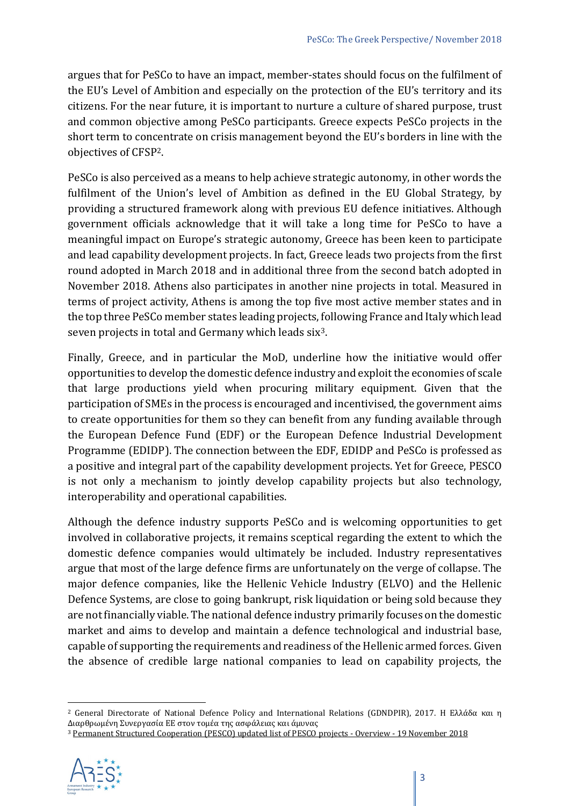argues that for PeSCo to have an impact, member-states should focus on the fulfilment of the EU's Level of Ambition and especially on the protection of the EU's territory and its citizens. For the near future, it is important to nurture a culture of shared purpose, trust and common objective among PeSCo participants. Greece expects PeSCo projects in the short term to concentrate on crisis management beyond the EU's borders in line with the objectives of CFS[P2.](#page-2-0)

PeSCo is also perceived as a means to help achieve strategic autonomy, in other words the fulfilment of the Union's level of Ambition as defined in the EU Global Strategy, by providing a structured framework along with previous EU defence initiatives. Although government officials acknowledge that it will take a long time for PeSCo to have a meaningful impact on Europe's strategic autonomy, Greece has been keen to participate and lead capability development projects. In fact, Greece leads two projects from the first round adopted in March 2018 and in additional three from the second batch adopted in November 2018. Athens also participates in another nine projects in total. Measured in terms of project activity, Athens is among the top five most active member states and in the top three PeSCo member states leading projects, following France and Italy which lead seven projects in total and Germany which leads six<sup>3</sup>.

Finally, Greece, and in particular the MoD, underline how the initiative would offer opportunities to develop the domestic defence industry and exploit the economies of scale that large productions yield when procuring military equipment. Given that the participation of SMEs in the process is encouraged and incentivised, the government aims to create opportunities for them so they can benefit from any funding available through the European Defence Fund (EDF) or the European Defence Industrial Development Programme (EDIDP). The connection between the EDF, EDIDP and PeSCo is professed as a positive and integral part of the capability development projects. Yet for Greece, PESCO is not only a mechanism to jointly develop capability projects but also technology, interoperability and operational capabilities.

Although the defence industry supports PeSCo and is welcoming opportunities to get involved in collaborative projects, it remains sceptical regarding the extent to which the domestic defence companies would ultimately be included. Industry representatives argue that most of the large defence firms are unfortunately on the verge of collapse. The major defence companies, like the Hellenic Vehicle Industry (ELVO) and the Hellenic Defence Systems, are close to going bankrupt, risk liquidation or being sold because they are not financially viable. The national defence industry primarily focuses on the domestic market and aims to develop and maintain a defence technological and industrial base, capable of supporting the requirements and readiness of the Hellenic armed forces. Given the absence of credible large national companies to lead on capability projects, the

<span id="page-2-1"></span><sup>3</sup> [Permanent Structured Cooperation \(PESCO\) updated list of PESCO projects -](https://www.consilium.europa.eu/media/37028/table-pesco-projects.pdf) Overview - 19 November 2018



<span id="page-2-0"></span><sup>2</sup> General Directorate of National Defence Policy and International Relations (GDNDPIR), 2017. Η Ελλάδα και η Διαρθρωμένη Συνεργασία ΕΕ στον τομέα της ασφάλειας και άμυνας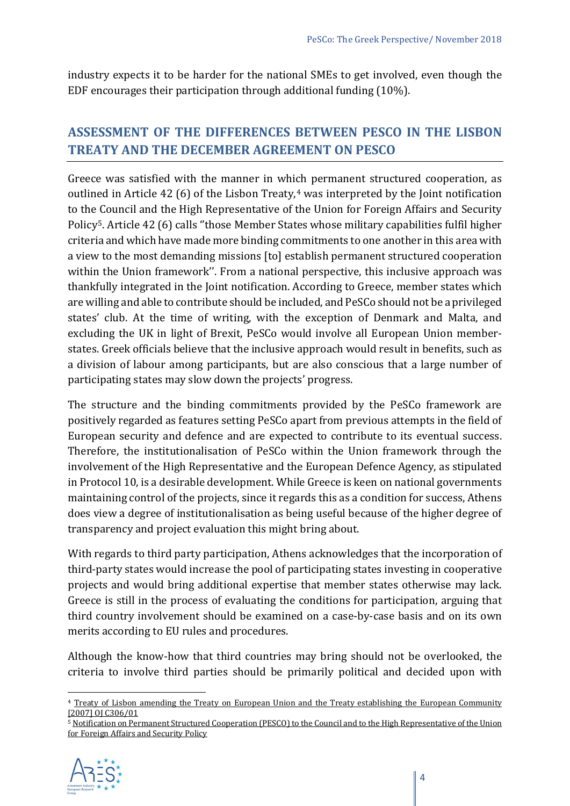industry expects it to be harder for the national SMEs to get involved, even though the EDF encourages their participation through additional funding (10%).

# **ASSESSMENT OF THE DIFFERENCES BETWEEN PESCO IN THE LISBON TREATY AND THE DECEMBER AGREEMENT ON PESCO**

Greece was satisfied with the manner in which permanent structured cooperation, as outlined in Article [4](#page-3-0)2 (6) of the Lisbon Treaty, $4$  was interpreted by the Joint notification to the Council and the High Representative of the Union for Foreign Affairs and Security Policy[5](#page-3-1). Article 42 (6) calls ''those Member States whose military capabilities fulfil higher criteria and which have made more binding commitments to one another in this area with a view to the most demanding missions [to] establish permanent structured cooperation within the Union framework''. From a national perspective, this inclusive approach was thankfully integrated in the Joint notification. According to Greece, member states which are willing and able to contribute should be included, and PeSCo should not be a privileged states' club. At the time of writing, with the exception of Denmark and Malta, and excluding the UK in light of Brexit, PeSCo would involve all European Union memberstates. Greek officials believe that the inclusive approach would result in benefits, such as a division of labour among participants, but are also conscious that a large number of participating states may slow down the projects' progress.

The structure and the binding commitments provided by the PeSCo framework are positively regarded as features setting PeSCo apart from previous attempts in the field of European security and defence and are expected to contribute to its eventual success. Therefore, the institutionalisation of PeSCo within the Union framework through the involvement of the High Representative and the European Defence Agency, as stipulated in Protocol 10, is a desirable development. While Greece is keen on national governments maintaining control of the projects, since it regards this as a condition for success, Athens does view a degree of institutionalisation as being useful because of the higher degree of transparency and project evaluation this might bring about.

With regards to third party participation, Athens acknowledges that the incorporation of third-party states would increase the pool of participating states investing in cooperative projects and would bring additional expertise that member states otherwise may lack. Greece is still in the process of evaluating the conditions for participation, arguing that third country involvement should be examined on a case-by-case basis and on its own merits according to EU rules and procedures.

Although the know-how that third countries may bring should not be overlooked, the criteria to involve third parties should be primarily political and decided upon with

<span id="page-3-1"></span><sup>5</sup> [Notification on Permanent Structured Cooperation \(PESCO\) to the Council and to the High Representative of the Union](https://www.consilium.europa.eu/media/31511/171113-pesco-notification.pdf)  [for Foreign Affairs and Security Policy](https://www.consilium.europa.eu/media/31511/171113-pesco-notification.pdf)



<span id="page-3-0"></span><sup>4</sup> [Treaty of Lisbon amending the Treaty on European Union and the Treaty establishing the European Community](http://www.lisbon-treaty.org/wcm/the-lisbon-treaty/treaty-on-european-union-and-comments/title-5-general-provisions-on-the-unions-external-action-and-specific-provisions/chapter-2-specific-provisions-on-the-common-foreign-and-security-policy/section-2-provisions-on-the-common-security-and-defence-policy/129-article-42.html)  [\[2007\] OJ C306/01](http://www.lisbon-treaty.org/wcm/the-lisbon-treaty/treaty-on-european-union-and-comments/title-5-general-provisions-on-the-unions-external-action-and-specific-provisions/chapter-2-specific-provisions-on-the-common-foreign-and-security-policy/section-2-provisions-on-the-common-security-and-defence-policy/129-article-42.html)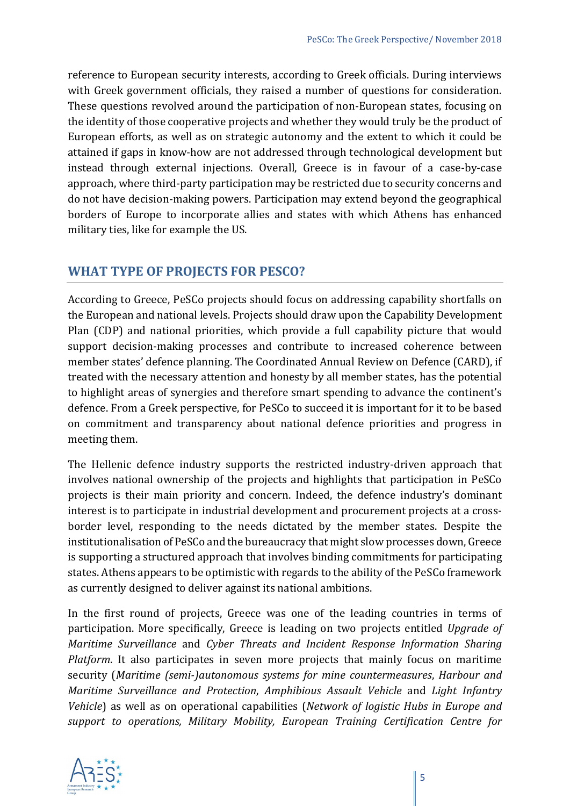reference to European security interests, according to Greek officials. During interviews with Greek government officials, they raised a number of questions for consideration. These questions revolved around the participation of non-European states, focusing on the identity of those cooperative projects and whether they would truly be the product of European efforts, as well as on strategic autonomy and the extent to which it could be attained if gaps in know-how are not addressed through technological development but instead through external injections. Overall, Greece is in favour of a case-by-case approach, where third-party participation may be restricted due to security concerns and do not have decision-making powers. Participation may extend beyond the geographical borders of Europe to incorporate allies and states with which Athens has enhanced military ties, like for example the US.

# **WHAT TYPE OF PROJECTS FOR PESCO?**

According to Greece, PeSCo projects should focus on addressing capability shortfalls on the European and national levels. Projects should draw upon the Capability Development Plan (CDP) and national priorities, which provide a full capability picture that would support decision-making processes and contribute to increased coherence between member states' defence planning. The Coordinated Annual Review on Defence (CARD), if treated with the necessary attention and honesty by all member states, has the potential to highlight areas of synergies and therefore smart spending to advance the continent's defence. From a Greek perspective, for PeSCo to succeed it is important for it to be based on commitment and transparency about national defence priorities and progress in meeting them.

The Hellenic defence industry supports the restricted industry-driven approach that involves national ownership of the projects and highlights that participation in PeSCo projects is their main priority and concern. Indeed, the defence industry's dominant interest is to participate in industrial development and procurement projects at a crossborder level, responding to the needs dictated by the member states. Despite the institutionalisation of PeSCo and the bureaucracy that might slow processes down, Greece is supporting a structured approach that involves binding commitments for participating states. Athens appears to be optimistic with regards to the ability of the PeSCo framework as currently designed to deliver against its national ambitions.

In the first round of projects, Greece was one of the leading countries in terms of participation. More specifically, Greece is leading on two projects entitled *Upgrade of Maritime Surveillance* and *Cyber Threats and Incident Response Information Sharing Platform*. It also participates in seven more projects that mainly focus on maritime security (*Maritime (semi-)autonomous systems for mine countermeasures*, *Harbour and Maritime Surveillance and Protection*, *Amphibious Assault Vehicle* and *Light Infantry Vehicle*) as well as on operational capabilities (*Network of logistic Hubs in Europe and support to operations, Military Mobility, European Training Certification Centre for* 

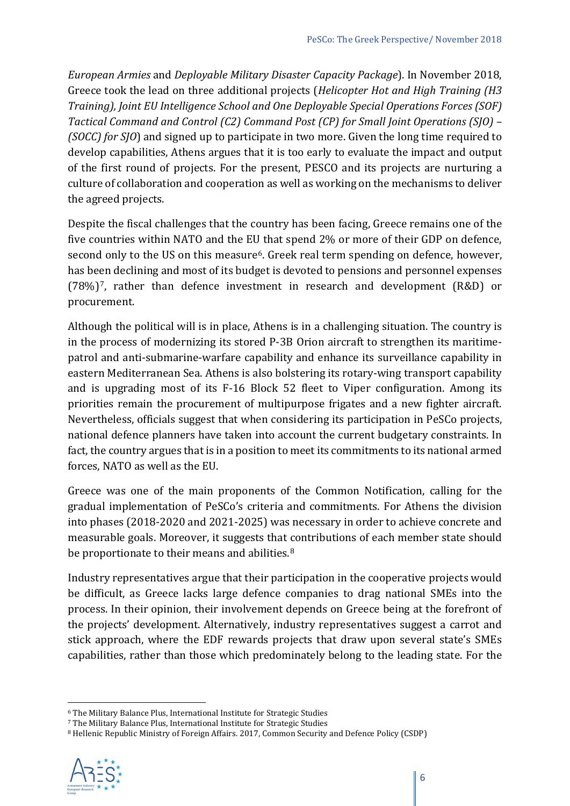*European Armies* and *Deployable Military Disaster Capacity Package*). In November 2018, Greece took the lead on three additional projects (*Helicopter Hot and High Training (H3 Training), Joint EU Intelligence School and One Deployable Special Operations Forces (SOF) Tactical Command and Control (C2) Command Post (CP) for Small Joint Operations (SJO) – (SOCC) for SJO*) and signed up to participate in two more. Given the long time required to develop capabilities, Athens argues that it is too early to evaluate the impact and output of the first round of projects. For the present, PESCO and its projects are nurturing a culture of collaboration and cooperation as well as working on the mechanisms to deliver the agreed projects.

Despite the fiscal challenges that the country has been facing, Greece remains one of the five countries within NATO and the EU that spend 2% or more of their GDP on defence, second only to the US on this measure<sup>[6](#page-5-0)</sup>. Greek real term spending on defence, however, has been declining and most of its budget is devoted to pensions and personnel expenses (78%)[7,](#page-5-1) rather than defence investment in research and development (R&D) or procurement.

Although the political will is in place, Athens is in a challenging situation. The country is in the process of modernizing its stored P-3B Orion aircraft to strengthen its maritimepatrol and anti-submarine-warfare capability and enhance its surveillance capability in eastern Mediterranean Sea. Athens is also bolstering its rotary-wing transport capability and is upgrading most of its F-16 Block 52 fleet to Viper configuration. Among its priorities remain the procurement of multipurpose frigates and a new fighter aircraft. Nevertheless, officials suggest that when considering its participation in PeSCo projects, national defence planners have taken into account the current budgetary constraints. In fact, the country argues that is in a position to meet its commitments to its national armed forces, NATO as well as the EU.

Greece was one of the main proponents of the Common Notification, calling for the gradual implementation of PeSCo's criteria and commitments. For Athens the division into phases (2018-2020 and 2021-2025) was necessary in order to achieve concrete and measurable goals. Moreover, it suggests that contributions of each member state should be proportionate to their means and abilities.<sup>[8](#page-5-2)</sup>

Industry representatives argue that their participation in the cooperative projects would be difficult, as Greece lacks large defence companies to drag national SMEs into the process. In their opinion, their involvement depends on Greece being at the forefront of the projects' development. Alternatively, industry representatives suggest a carrot and stick approach, where the EDF rewards projects that draw upon several state's SMEs capabilities, rather than those which predominately belong to the leading state. For the

<span id="page-5-2"></span><span id="page-5-1"></span><sup>8</sup> Hellenic Republic Ministry of Foreign Affairs. 2017, Common Security and Defence Policy (CSDP)



<span id="page-5-0"></span><sup>6</sup> The Military Balance Plus, International Institute for Strategic Studies

<sup>7</sup> The Military Balance Plus, International Institute for Strategic Studies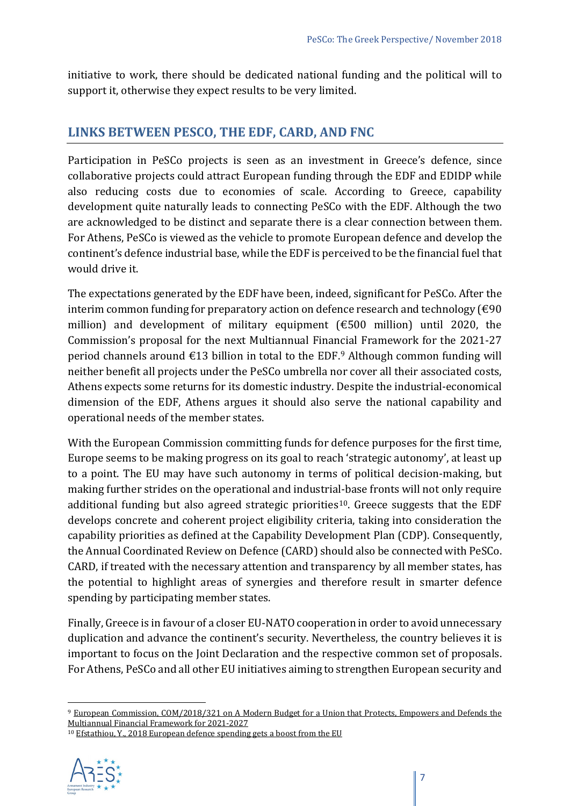initiative to work, there should be dedicated national funding and the political will to support it, otherwise they expect results to be very limited.

### **LINKS BETWEEN PESCO, THE EDF, CARD, AND FNC**

Participation in PeSCo projects is seen as an investment in Greece's defence, since collaborative projects could attract European funding through the EDF and EDIDP while also reducing costs due to economies of scale. According to Greece, capability development quite naturally leads to connecting PeSCo with the EDF. Although the two are acknowledged to be distinct and separate there is a clear connection between them. For Athens, PeSCo is viewed as the vehicle to promote European defence and develop the continent's defence industrial base, while the EDF is perceived to be the financial fuel that would drive it.

The expectations generated by the EDF have been, indeed, significant for PeSCo. After the interim common funding for preparatory action on defence research and technology (€90 million) and development of military equipment (€500 million) until 2020, the Commission's proposal for the next Multiannual Financial Framework for the 2021-27 period channels around  $\epsilon$ 13 billion in total to the EDF.<sup>[9](#page-6-0)</sup> Although common funding will neither benefit all projects under the PeSCo umbrella nor cover all their associated costs, Athens expects some returns for its domestic industry. Despite the industrial-economical dimension of the EDF, Athens argues it should also serve the national capability and operational needs of the member states.

With the European Commission committing funds for defence purposes for the first time, Europe seems to be making progress on its goal to reach 'strategic autonomy', at least up to a point. The EU may have such autonomy in terms of political decision-making, but making further strides on the operational and industrial-base fronts will not only require additional funding but also agreed strategic priorities<sup>[10](#page-6-1)</sup>. Greece suggests that the EDF develops concrete and coherent project eligibility criteria, taking into consideration the capability priorities as defined at the Capability Development Plan (CDP). Consequently, the Annual Coordinated Review on Defence (CARD) should also be connected with PeSCo. CARD, if treated with the necessary attention and transparency by all member states, has the potential to highlight areas of synergies and therefore result in smarter defence spending by participating member states.

Finally, Greece is in favour of a closer EU-NATO cooperation in order to avoid unnecessary duplication and advance the continent's security. Nevertheless, the country believes it is important to focus on the Joint Declaration and the respective common set of proposals. For Athens, PeSCo and all other EU initiatives aiming to strengthen European security and

<span id="page-6-1"></span><sup>10</sup> [Efstathiou, Y., 2018 European defence spending gets a boost from the EU](https://www.iiss.org/blogs/military-balance/2018/06/eu-boosts-european-defence-spending)



<span id="page-6-0"></span><sup>9</sup> [European Commission, COM/2018/321 on A Modern Budget for a Union that Protects, Empowers and Defends the](https://ec.europa.eu/commission/sites/beta-political/files/communication-modern-budget-may_2018_en.pdf) [Multiannual Financial Framework for 2021-2027](https://ec.europa.eu/commission/sites/beta-political/files/communication-modern-budget-may_2018_en.pdf)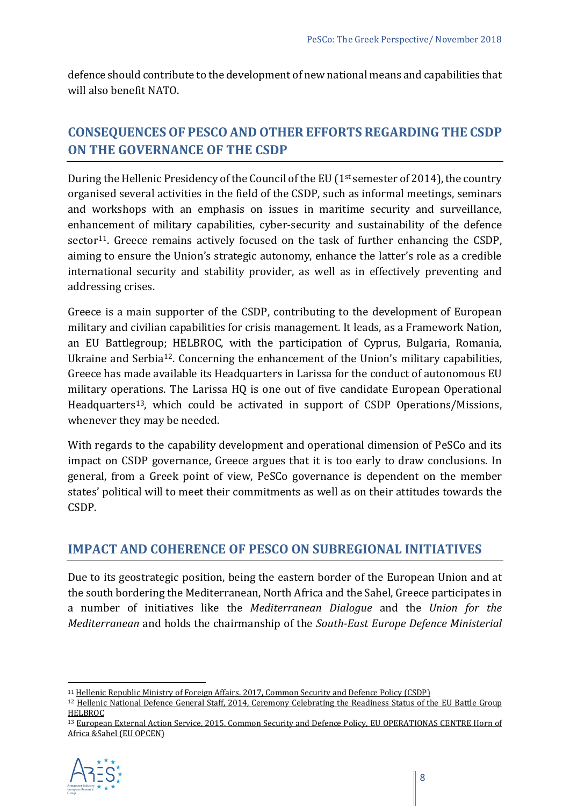defence should contribute to the development of new national means and capabilities that will also benefit NATO.

# **CONSEQUENCES OF PESCO AND OTHER EFFORTS REGARDING THE CSDP ON THE GOVERNANCE OF THE CSDP**

During the Hellenic Presidency of the Council of the EU ( $1<sup>st</sup>$  semester of 2014), the country organised several activities in the field of the CSDP, such as informal meetings, seminars and workshops with an emphasis on issues in maritime security and surveillance, enhancement of military capabilities, cyber-security and sustainability of the defence sector<sup>11</sup>. Greece remains actively focused on the task of further enhancing the CSDP, aiming to ensure the Union's strategic autonomy, enhance the latter's role as a credible international security and stability provider, as well as in effectively preventing and addressing crises.

Greece is a main supporter of the CSDP, contributing to the development of European military and civilian capabilities for crisis management. It leads, as a Framework Nation, an EU Battlegroup; HELBROC, with the participation of Cyprus, Bulgaria, Romania, Ukraine and Serbia[12](#page-7-1). Concerning the enhancement of the Union's military capabilities, Greece has made available its Headquarters in Larissa for the conduct of autonomous EU military operations. The Larissa HQ is one out of five candidate European Operational Headquarters<sup>13</sup>, which could be activated in support of CSDP Operations/Missions, whenever they may be needed.

With regards to the capability development and operational dimension of PeSCo and its impact on CSDP governance, Greece argues that it is too early to draw conclusions. In general, from a Greek point of view, PeSCo governance is dependent on the member states' political will to meet their commitments as well as on their attitudes towards the CSDP.

## **IMPACT AND COHERENCE OF PESCO ON SUBREGIONAL INITIATIVES**

Due to its geostrategic position, being the eastern border of the European Union and at the south bordering the Mediterranean, North Africa and the Sahel, Greece participates in a number of initiatives like the *Mediterranean Dialogue* and the *Union for the Mediterranean* and holds the chairmanship of the *South-East Europe Defence Ministerial* 

<span id="page-7-2"></span><sup>13</sup> [European External Action Service, 2015. Common Security and Defence Policy, EU OPERATIONAS CENTRE Horn of](http://www.eeas.europa.eu/archives/docs/csdp/structures-instruments-agencies/eu-operations-centre/docs/factsheet_eu_opcen_23_06_2015.pdf)  [Africa &Sahel \(EU OPCEN\)](http://www.eeas.europa.eu/archives/docs/csdp/structures-instruments-agencies/eu-operations-centre/docs/factsheet_eu_opcen_23_06_2015.pdf)



<u>.</u>

<span id="page-7-0"></span><sup>11</sup> [Hellenic Republic Ministry of Foreign Affairs. 2017, Common Security and Defence Policy \(CSDP\)](https://www.mfa.gr/en/foreign-policy/greece-in-the-eu/eu-common-security-and-defence-policy-csdp.html)

<span id="page-7-1"></span><sup>&</sup>lt;sup>12</sup> Hellenic National Defence General Staff, 2014, Ceremony Celebrating the Readiness Status of the EU Battle Group [HELBROC](http://www.geetha.mil.gr/en/news-section-en/press-releases/2742-ceremony-celebrating-the-readiness-status-of-the-eu-battle-group-helbroc.html)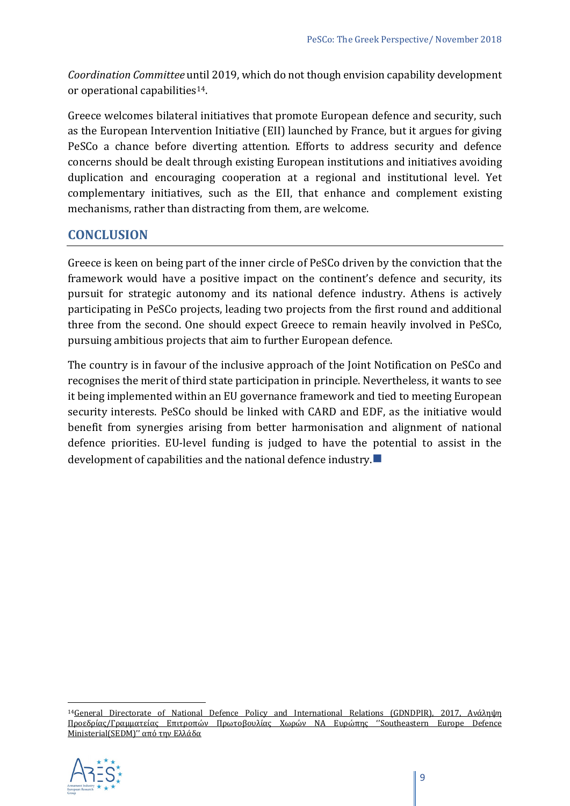*Coordination Committee* until 2019, which do not though envision capability development or operational capabilities[14.](#page-8-0)

Greece welcomes bilateral initiatives that promote European defence and security, such as the European Intervention Initiative (EII) launched by France, but it argues for giving PeSCo a chance before diverting attention. Efforts to address security and defence concerns should be dealt through existing European institutions and initiatives avoiding duplication and encouraging cooperation at a regional and institutional level. Yet complementary initiatives, such as the EII, that enhance and complement existing mechanisms, rather than distracting from them, are welcome.

#### **CONCLUSION**

Greece is keen on being part of the inner circle of PeSCo driven by the conviction that the framework would have a positive impact on the continent's defence and security, its pursuit for strategic autonomy and its national defence industry. Athens is actively participating in PeSCo projects, leading two projects from the first round and additional three from the second. One should expect Greece to remain heavily involved in PeSCo, pursuing ambitious projects that aim to further European defence.

The country is in favour of the inclusive approach of the Joint Notification on PeSCo and recognises the merit of third state participation in principle. Nevertheless, it wants to see it being implemented within an EU governance framework and tied to meeting European security interests. PeSCo should be linked with CARD and EDF, as the initiative would benefit from synergies arising from better harmonisation and alignment of national defence priorities. EU-level funding is judged to have the potential to assist in the development of capabilities and the national defence industry.  $\Box$ 

<span id="page-8-0"></span> $\overline{a}$ 1[4General Directorate of National Defence Policy and International Relations \(GDNDPIR\), 2017,](http://www.gdpeads.mod.mil.gr/index.php/el/%CE%B4%CF%81%CE%B1%CF%83%CF%84%CE%B7%CF%81%CE%B9%CE%BF%CF%84%CE%B7%CF%84%CE%B5%CF%83/item/111-%CE%B7-%CE%B5%CE%BB%CE%BB%CE%AC%CE%B4%CE%B1-%CE%BA%CE%B1%CE%B9-%CE%B7-%CE%BC%CF%8C%CE%BD%CE%B9%CE%BC%CE%B7-%CE%B4%CE%B9%CE%B1%CF%81%CE%B8%CF%81%CF%89%CE%BC%CE%AD%CE%BD%CE%B7-%CF%83%CF%85%CE%BD%CE%B5%CF%81%CE%B3%CE%B1%CF%83%CE%AF%CE%B1-%CF%83%CF%84%CE%BF%CE%BD-%CF%84%CE%BF%CE%BC%CE%AD%CE%B1-%CF%84%CE%B7%CF%82-%CE%B1%CF%83%CF%86%CE%AC%CE%BB%CE%B5%CE%B9%CE%B1%CF%82-%CE%BA%CE%B1%CE%B9-%CE%AC%CE%BC%CF%85%CE%BD%CE%B1%CF%82) Ανάληψη Προεδρίας/Γραμματείας Επιτροπών Πρωτοβουλίας Χωρών ΝΑ Ευρώπης [''Southeastern Europe Defence](http://www.gdpeads.mod.mil.gr/index.php/el/%CE%B4%CF%81%CE%B1%CF%83%CF%84%CE%B7%CF%81%CE%B9%CE%BF%CF%84%CE%B7%CF%84%CE%B5%CF%83/item/111-%CE%B7-%CE%B5%CE%BB%CE%BB%CE%AC%CE%B4%CE%B1-%CE%BA%CE%B1%CE%B9-%CE%B7-%CE%BC%CF%8C%CE%BD%CE%B9%CE%BC%CE%B7-%CE%B4%CE%B9%CE%B1%CF%81%CE%B8%CF%81%CF%89%CE%BC%CE%AD%CE%BD%CE%B7-%CF%83%CF%85%CE%BD%CE%B5%CF%81%CE%B3%CE%B1%CF%83%CE%AF%CE%B1-%CF%83%CF%84%CE%BF%CE%BD-%CF%84%CE%BF%CE%BC%CE%AD%CE%B1-%CF%84%CE%B7%CF%82-%CE%B1%CF%83%CF%86%CE%AC%CE%BB%CE%B5%CE%B9%CE%B1%CF%82-%CE%BA%CE%B1%CE%B9-%CE%AC%CE%BC%CF%85%CE%BD%CE%B1%CF%82)  [Ministerial\(SEDM\)''](http://www.gdpeads.mod.mil.gr/index.php/el/%CE%B4%CF%81%CE%B1%CF%83%CF%84%CE%B7%CF%81%CE%B9%CE%BF%CF%84%CE%B7%CF%84%CE%B5%CF%83/item/111-%CE%B7-%CE%B5%CE%BB%CE%BB%CE%AC%CE%B4%CE%B1-%CE%BA%CE%B1%CE%B9-%CE%B7-%CE%BC%CF%8C%CE%BD%CE%B9%CE%BC%CE%B7-%CE%B4%CE%B9%CE%B1%CF%81%CE%B8%CF%81%CF%89%CE%BC%CE%AD%CE%BD%CE%B7-%CF%83%CF%85%CE%BD%CE%B5%CF%81%CE%B3%CE%B1%CF%83%CE%AF%CE%B1-%CF%83%CF%84%CE%BF%CE%BD-%CF%84%CE%BF%CE%BC%CE%AD%CE%B1-%CF%84%CE%B7%CF%82-%CE%B1%CF%83%CF%86%CE%AC%CE%BB%CE%B5%CE%B9%CE%B1%CF%82-%CE%BA%CE%B1%CE%B9-%CE%AC%CE%BC%CF%85%CE%BD%CE%B1%CF%82) από την Ελλάδα